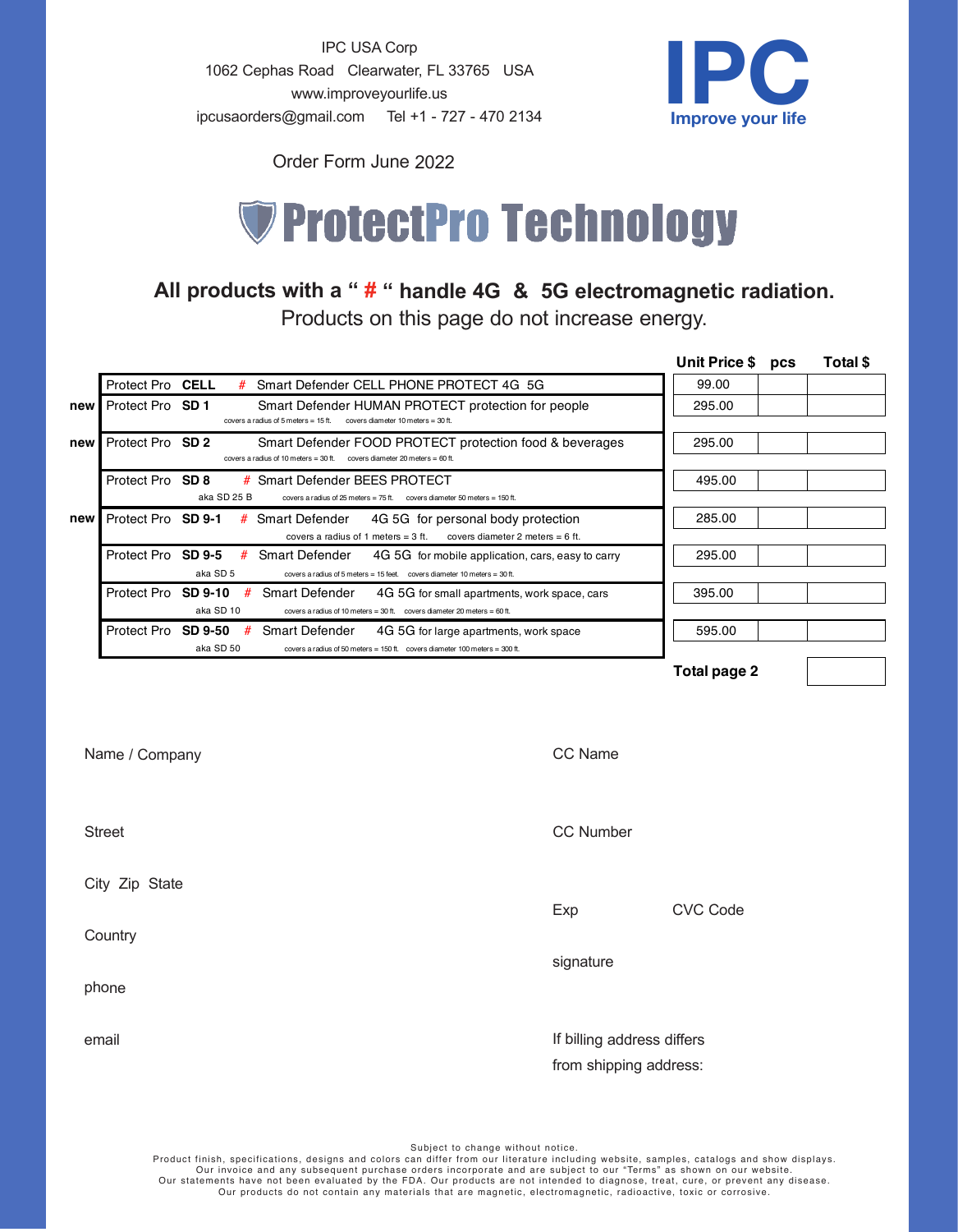IPC USA Corp 1062 Cephas Road Clearwater, FL 33765 USA www.improveyourlife.us ipcusaorders@gmail.com Tel +1 - 727 - 470 2134



Order Form June 2022



## **All products with a " # " handle 4G & 5G electromagnetic radiation.**

Products on this page do not increase energy.

|                       |                       |           |                 |                                                                                                                                                         | Unit Price \$ pcs | Total \$ |
|-----------------------|-----------------------|-----------|-----------------|---------------------------------------------------------------------------------------------------------------------------------------------------------|-------------------|----------|
|                       | Protect Pro CELL      |           |                 | # Smart Defender CELL PHONE PROTECT 4G 5G                                                                                                               | 99.00             |          |
| new                   | Protect Pro SD 1      |           |                 | Smart Defender HUMAN PROTECT protection for people<br>covers a radius of $5$ meters = $15$ ft. covers diameter $10$ meters = $30$ ft.                   | 295.00            |          |
| new                   | Protect Pro SD 2      |           |                 | Smart Defender FOOD PROTECT protection food & beverages<br>covers a radius of 10 meters = 30 ft. covers diameter 20 meters = 60 ft.                     | 295.00            |          |
|                       | Protect Pro SD 8      |           | aka SD 25 B     | # Smart Defender BEES PROTECT<br>covers a radius of 25 meters = 75 ft. covers diameter 50 meters = 150 ft.                                              | 495.00            |          |
| new                   | Protect Pro SD 9-1    |           |                 | # Smart Defender<br>4G 5G for personal body protection<br>covers a radius of 1 meters = $3$ ft. covers diameter 2 meters = $6$ ft.                      | 285.00            |          |
|                       | Protect Pro SD 9-5    | aka SD 5  | #               | <b>Smart Defender</b><br>4G 5G for mobile application, cars, easy to carry<br>covers a radius of 5 meters = 15 feet. covers diameter 10 meters = 30 ft. | 295.00            |          |
|                       | Protect Pro SD 9-10   | aka SD 10 | #               | <b>Smart Defender</b><br>4G 5G for small apartments, work space, cars<br>covers a radius of 10 meters = $30$ ft. covers diameter 20 meters = $60$ ft.   | 395.00            |          |
|                       | Protect Pro SD 9-50 # |           |                 | <b>Smart Defender</b><br>4G 5G for large apartments, work space                                                                                         | 595.00            |          |
|                       |                       |           |                 |                                                                                                                                                         | Total page 2      |          |
|                       | Name / Company        |           |                 |                                                                                                                                                         |                   |          |
|                       | <b>Street</b>         |           |                 |                                                                                                                                                         |                   |          |
| City Zip State<br>Exp |                       |           |                 |                                                                                                                                                         |                   |          |
|                       | Country               |           | <b>CVC Code</b> |                                                                                                                                                         |                   |          |
|                       | phone                 |           |                 |                                                                                                                                                         |                   |          |

Subject to change without notice.

If billing address differs from shipping address:

email

Product finish, specifications, designs and colors can differ from our literature including website, samples, catalogs and show displays. Our invoice and any subsequent purchase orders incorporate and are subject to our "Terms" as shown on our website. Our statements have not been evaluated by the FDA. Our products are not intended to diagnose, treat, cure, or prevent any disease. Our products do not contain any materials that are magnetic, electromagnetic, radioactive, toxic or corrosive.